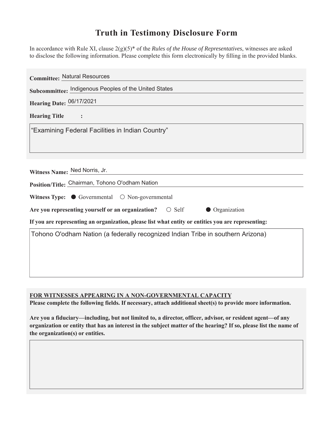## **Truth in Testimony Disclosure Form**

In accordance with Rule XI, clause 2(g)(5)\* of the *Rules of the House of Representatives*, witnesses are asked to disclose the following information. Please complete this form electronically by filling in the provided blanks.

| <b>Committee: Natural Resources</b>                                                                |
|----------------------------------------------------------------------------------------------------|
| Subcommittee: Indigenous Peoples of the United States                                              |
| Hearing Date: 06/17/2021                                                                           |
| <b>Hearing Title</b><br>$\ddot{\cdot}$                                                             |
| "Examining Federal Facilities in Indian Country"                                                   |
|                                                                                                    |
|                                                                                                    |
| Witness Name: Ned Norris, Jr.                                                                      |
| Position/Title: Chairman, Tohono O'odham Nation                                                    |
| Witness Type: $\bullet$ Governmental $\circ$ Non-governmental                                      |
| Are you representing yourself or an organization? $\circ$ Self<br>• Organization                   |
| If you are representing an organization, please list what entity or entities you are representing: |
| Tohono O'odham Nation (a federally recognized Indian Tribe in southern Arizona)                    |
|                                                                                                    |
|                                                                                                    |
|                                                                                                    |

**FOR WITNESSES APPEARING IN A NON-GOVERNMENTAL CAPACITY** 

Please complete the following fields. If necessary, attach additional sheet(s) to provide more information.

Are you a fiduciary—including, but not limited to, a director, officer, advisor, or resident agent—of any organization or entity that has an interest in the subject matter of the hearing? If so, please list the name of **the organization(s) or entities.**